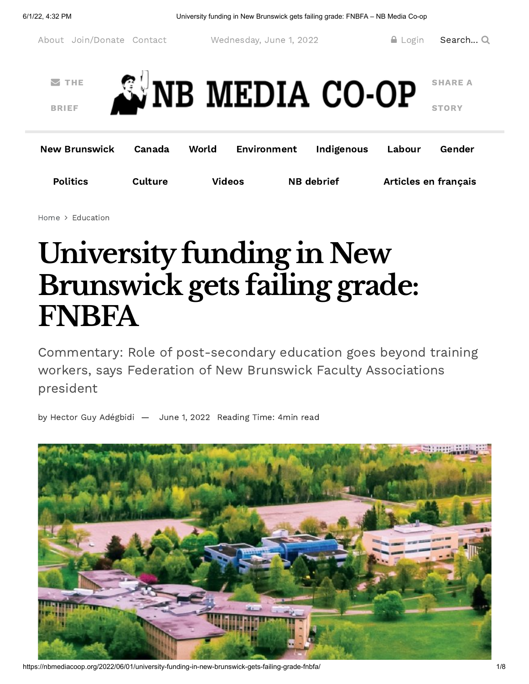

[Home](https://nbmediacoop.org/) > [Education](https://nbmediacoop.org/category/education/)

## **Universityfunding in New Brunswick gets failing grade: FNBFA**

Commentary: Role of post-secondary education goes beyond training workers, says Federation of New Brunswick Faculty Associations president

by Hector Guy [Adégbidi](https://nbmediacoop.org/author/webmin/) — [June](https://nbmediacoop.org/2022/06/01/university-funding-in-new-brunswick-gets-failing-grade-fnbfa/) 1, 2022 Reading Time: 4min read



https://nbmediacoop.org/2022/06/01/university-funding-in-new-brunswick-gets-failing-grade-fnbfa/ 1/8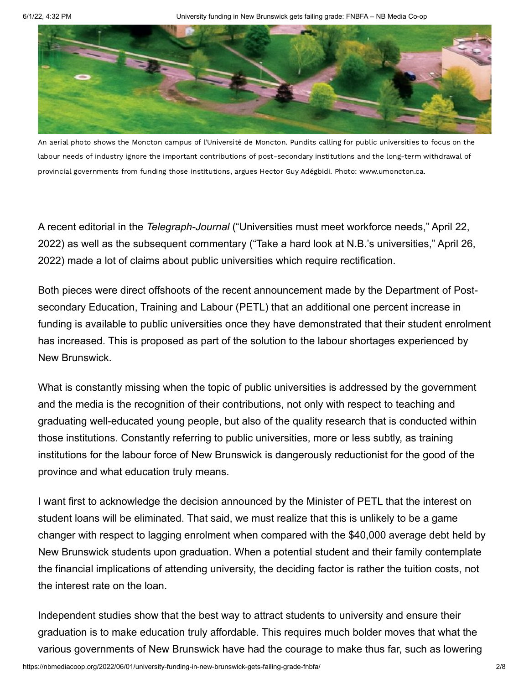

An aerial photo shows the Moncton campus of l'Université de Moncton. Pundits calling for public universities to focus on the labour needs of industry ignore the important contributions of post-secondary institutions and the long-term withdrawal of provincial governments from funding those institutions, argues Hector Guy Adégbidi. Photo: [www.umoncton.ca.](https://nbmediacoop.org/wp-content/uploads/2022/05/UniversitedeMoncton.jpg)

A recent editorial in the *Telegraph-Journal* ("Universities must meet workforce needs," April 22, 2022) as well as the subsequent commentary ("Take a hard look at N.B.'s universities," April 26, 2022) made a lot of claims about public universities which require rectification.

Both pieces were direct offshoots of the recent announcement made by the Department of Postsecondary Education, Training and Labour (PETL) that an additional one percent increase in funding is available to public universities once they have demonstrated that their student enrolment has increased. This is proposed as part of the solution to the labour shortages experienced by New Brunswick.

What is constantly missing when the topic of public universities is addressed by the government and the media is the recognition of their contributions, not only with respect to teaching and graduating well-educated young people, but also of the quality research that is conducted within those institutions. Constantly referring to public universities, more or less subtly, as training institutions for the labour force of New Brunswick is dangerously reductionist for the good of the province and what education truly means.

I want first to acknowledge the decision announced by the Minister of PETL that the interest on student loans will be eliminated. That said, we must realize that this is unlikely to be a game changer with respect to lagging enrolment when compared with the \$40,000 average debt held by New Brunswick students upon graduation. When a potential student and their family contemplate the financial implications of attending university, the deciding factor is rather the tuition costs, not the interest rate on the loan.

Independent studies show that the best way to attract students to university and ensure their graduation is to make education truly affordable. This requires much bolder moves that what the various governments of New Brunswick have had the courage to make thus far, such as lowering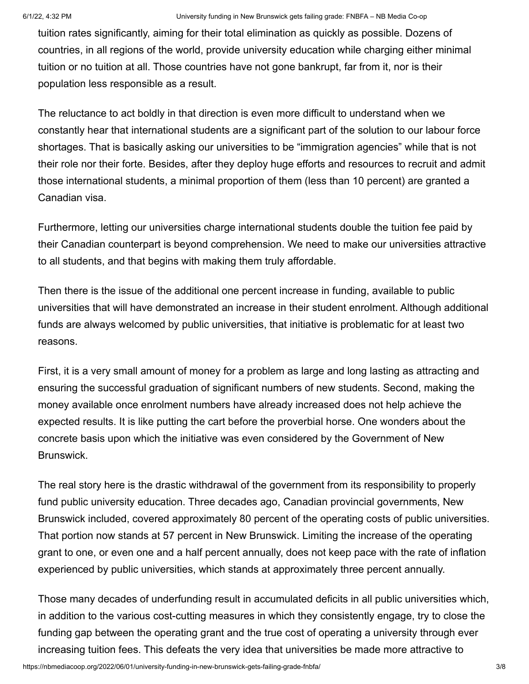tuition rates significantly, aiming for their total elimination as quickly as possible. Dozens of countries, in all regions of the world, provide university education while charging either minimal tuition or no tuition at all. Those countries have not gone bankrupt, far from it, nor is their population less responsible as a result.

The reluctance to act boldly in that direction is even more difficult to understand when we constantly hear that international students are a significant part of the solution to our labour force shortages. That is basically asking our universities to be "immigration agencies" while that is not their role nor their forte. Besides, after they deploy huge efforts and resources to recruit and admit those international students, a minimal proportion of them (less than 10 percent) are granted a Canadian visa.

Furthermore, letting our universities charge international students double the tuition fee paid by their Canadian counterpart is beyond comprehension. We need to make our universities attractive to all students, and that begins with making them truly affordable.

Then there is the issue of the additional one percent increase in funding, available to public universities that will have demonstrated an increase in their student enrolment. Although additional funds are always welcomed by public universities, that initiative is problematic for at least two reasons.

First, it is a very small amount of money for a problem as large and long lasting as attracting and ensuring the successful graduation of significant numbers of new students. Second, making the money available once enrolment numbers have already increased does not help achieve the expected results. It is like putting the cart before the proverbial horse. One wonders about the concrete basis upon which the initiative was even considered by the Government of New Brunswick.

The real story here is the drastic withdrawal of the government from its responsibility to properly fund public university education. Three decades ago, Canadian provincial governments, New Brunswick included, covered approximately 80 percent of the operating costs of public universities. That portion now stands at 57 percent in New Brunswick. Limiting the increase of the operating grant to one, or even one and a half percent annually, does not keep pace with the rate of inflation experienced by public universities, which stands at approximately three percent annually.

Those many decades of underfunding result in accumulated deficits in all public universities which, in addition to the various cost-cutting measures in which they consistently engage, try to close the funding gap between the operating grant and the true cost of operating a university through ever increasing tuition fees. This defeats the very idea that universities be made more attractive to